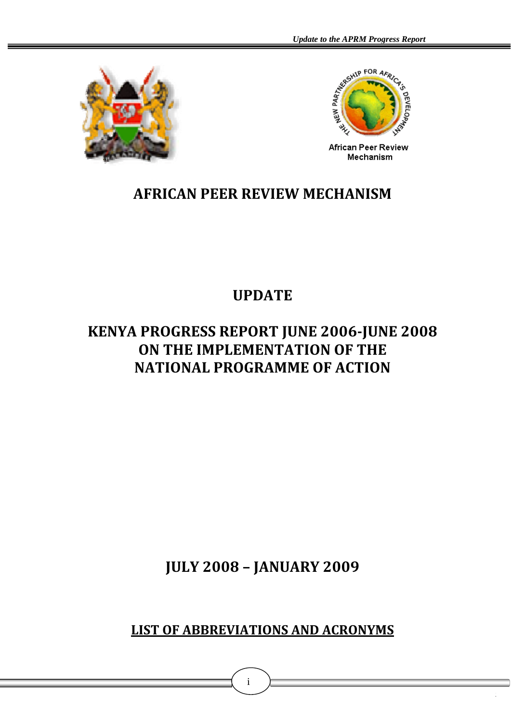



African Peer Review Mechanism

# **AFRICAN PEER REVIEW MECHANISM**

# **UPDATE**

# **KENYA PROGRESS REPORT JUNE 2006JUNE 2008 ON THE IMPLEMENTATION OF THE NATIONAL PROGRAMME OF ACTION**

**JULY 2008 – JANUARY 2009**

**LIST OF ABBREVIATIONS AND ACRONYMS**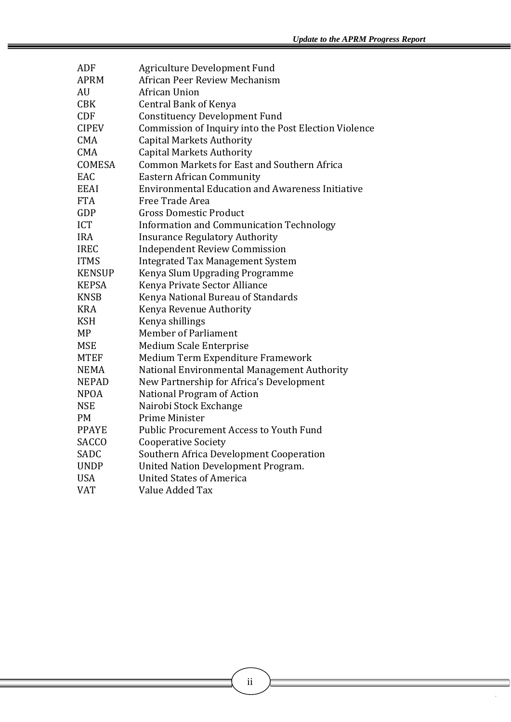| ADF           | Agriculture Development Fund                            |
|---------------|---------------------------------------------------------|
| <b>APRM</b>   | African Peer Review Mechanism                           |
| AU            | African Union                                           |
| <b>CBK</b>    | <b>Central Bank of Kenya</b>                            |
| <b>CDF</b>    | <b>Constituency Development Fund</b>                    |
| <b>CIPEV</b>  | Commission of Inquiry into the Post Election Violence   |
| <b>CMA</b>    | <b>Capital Markets Authority</b>                        |
| <b>CMA</b>    | <b>Capital Markets Authority</b>                        |
| <b>COMESA</b> | Common Markets for East and Southern Africa             |
| EAC           | <b>Eastern African Community</b>                        |
| <b>EEAI</b>   | <b>Environmental Education and Awareness Initiative</b> |
| <b>FTA</b>    | Free Trade Area                                         |
| GDP           | <b>Gross Domestic Product</b>                           |
| <b>ICT</b>    | <b>Information and Communication Technology</b>         |
| <b>IRA</b>    | <b>Insurance Regulatory Authority</b>                   |
| <b>IREC</b>   | <b>Independent Review Commission</b>                    |
| <b>ITMS</b>   | <b>Integrated Tax Management System</b>                 |
| <b>KENSUP</b> | Kenya Slum Upgrading Programme                          |
| <b>KEPSA</b>  | Kenya Private Sector Alliance                           |
| <b>KNSB</b>   | Kenya National Bureau of Standards                      |
| <b>KRA</b>    | Kenya Revenue Authority                                 |
| <b>KSH</b>    | Kenya shillings                                         |
| <b>MP</b>     | <b>Member of Parliament</b>                             |
| <b>MSE</b>    | <b>Medium Scale Enterprise</b>                          |
| <b>MTEF</b>   | Medium Term Expenditure Framework                       |
| <b>NEMA</b>   | National Environmental Management Authority             |
| <b>NEPAD</b>  | New Partnership for Africa's Development                |
| <b>NPOA</b>   | National Program of Action                              |
| <b>NSE</b>    | Nairobi Stock Exchange                                  |
| <b>PM</b>     | Prime Minister                                          |
| <b>PPAYE</b>  | Public Procurement Access to Youth Fund                 |
| <b>SACCO</b>  | <b>Cooperative Society</b>                              |
| SADC          | Southern Africa Development Cooperation                 |
| <b>UNDP</b>   | United Nation Development Program.                      |
| <b>USA</b>    | <b>United States of America</b>                         |
| <b>VAT</b>    | Value Added Tax                                         |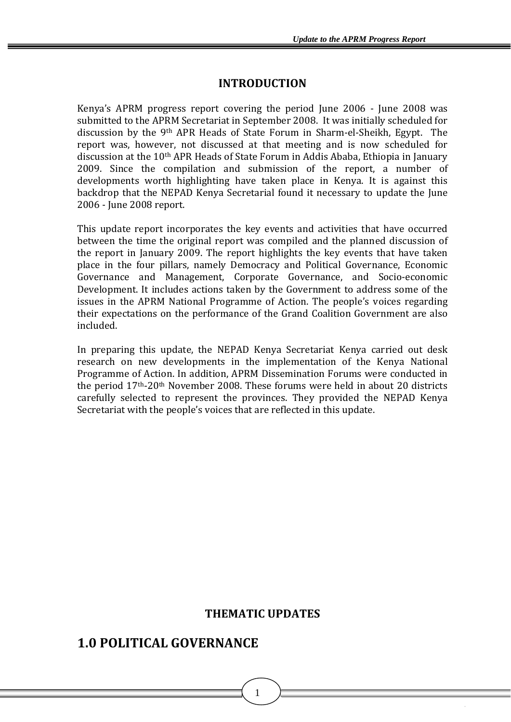# **INTRODUCTION**

Kenya's APRM progress report covering the period June 2006 - June 2008 was submitted to the APRM Secretariat in September 2008. It was initially scheduled for discussion by the 9th APR Heads of State Forum in Sharm‐el‐Sheikh, Egypt. The report was, however, not discussed at that meeting and is now scheduled for discussion at the 10th APR Heads of State Forum in Addis Ababa, Ethiopia in January 2009. Since the compilation and submission of the report, a number of developments worth highlighting have taken place in Kenya. It is against this backdrop that the NEPAD Kenya Secretarial found it necessary to update the June 2006 ‐ June 2008 report.

This update report incorporates the key events and activities that have occurred between the time the original report was compiled and the planned discussion of the report in January 2009. The report highlights the key events that have taken place in the four pillars, namely Democracy and Political Governance, Economic Governance and Management, Corporate Governance, and Socio‐economic Development. It includes actions taken by the Government to address some of the issues in the APRM National Programme of Action. The people's voices regarding their expectations on the performance of the Grand Coalition Government are also included.

In preparing this update, the NEPAD Kenya Secretariat Kenya carried out desk research on new developments in the implementation of the Kenya National Programme of Action. In addition, APRM Dissemination Forums were conducted in the period 17th‐20th November 2008. These forums were held in about 20 districts carefully selected to represent the provinces. They provided the NEPAD Kenya Secretariat with the people's voices that are reflected in this update.

# **THEMATIC UPDATES**

1

# **1.0 POLITICAL GOVERNANCE**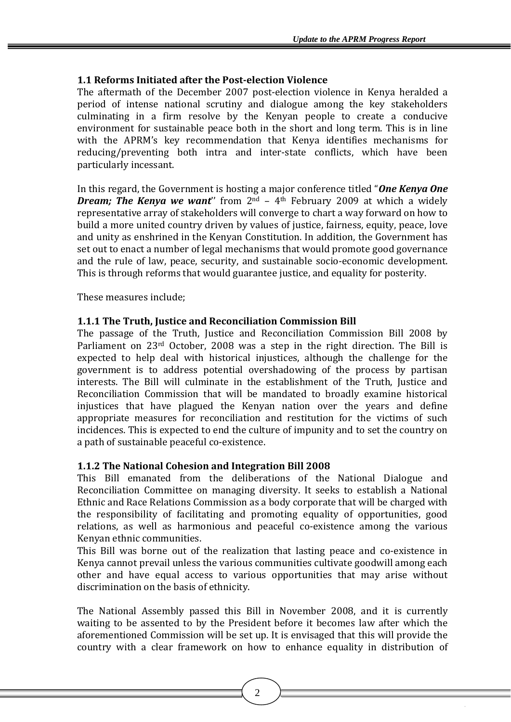# **1.1 Reforms Initiated after the Postelection Violence**

The aftermath of the December 2007 post-election violence in Kenya heralded a period of intense national scrutiny and dialogue among the key stakeholders culminating in a firm resolve by the Kenyan people to create a conducive environment for sustainable peace both in the short and long term. This is in line with the APRM's key recommendation that Kenya identifies mechanisms for reducing/preventing both intra and inter-state conflicts, which have been particularly incessant.

In this regard, the Government is hosting a major conference titled "*One Kenya One Dream; The Kenya we want*'' from 2nd – 4th February 2009 at which a widely representative array of stakeholders will converge to chart a way forward on how to build a more united country driven by values of justice, fairness, equity, peace, love and unity as enshrined in the Kenyan Constitution. In addition, the Government has set out to enact a number of legal mechanisms that would promote good governance and the rule of law, peace, security, and sustainable socio-economic development. This is through reforms that would guarantee justice, and equality for posterity.

These measures include;

# **1.1.1 The Truth, Justice and Reconciliation Commission Bill**

The passage of the Truth, Justice and Reconciliation Commission Bill 2008 by Parliament on 23<sup>rd</sup> October, 2008 was a step in the right direction. The Bill is expected to help deal with historical injustices, although the challenge for the government is to address potential overshadowing of the process by partisan interests. The Bill will culminate in the establishment of the Truth, Justice and Reconciliation Commission that will be mandated to broadly examine historical injustices that have plagued the Kenyan nation over the years and define appropriate measures for reconciliation and restitution for the victims of such ncidences. This is expected to end the culture of impunity and to set the country on i a path of sustainable peaceful co-existence.

# **1.1.2 The National Cohesion and Integration Bill 2008**

This Bill emanated from the deliberations of the National Dialogue and Reconciliation Committee on managing diversity. It seeks to establish a National Ethnic and Race Relations Commission as a body corporate that will be charged with the responsibility of facilitating and promoting equality of opportunities, good relations, as well as harmonious and peaceful co-existence among the various Kenyan ethnic communities.

This Bill was borne out of the realization that lasting peace and co-existence in Kenya cannot prevail unless the various communities cultivate goodwill among each other and have equal access to various opportunities that may arise without discrimination on the basis of ethnicity.

The National Assembly passed this Bill in November 2008, and it is currently waiting to be assented to by the President before it becomes law after which the aforementioned Commission will be set up. It is envisaged that this will provide the country with a clear framework on how to enhance equality in distribution of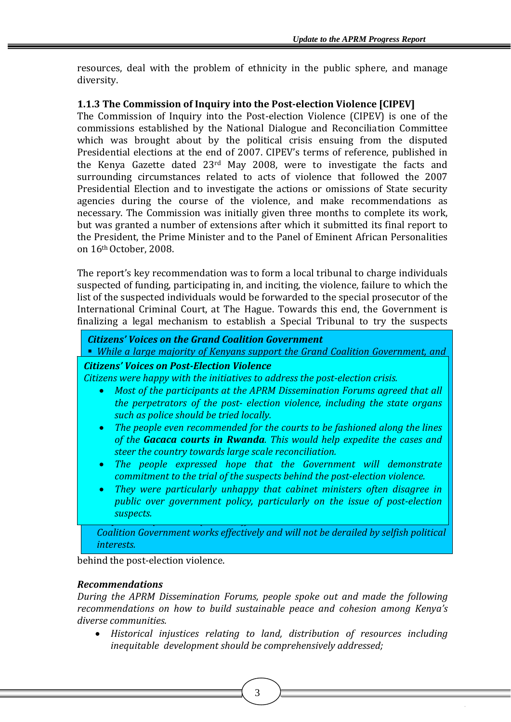resources, deal with the problem of ethnicity in the public sphere, and manage diversity.

# **1.1.3 The Commission of Inquiry into the Postelection Violence [CIPEV]**

The Commission of Inquiry into the Post-election Violence (CIPEV) is one of the commissions established by the National Dialogue and Reconciliation Committee which was brought about by the political crisis ensuing from the disputed Presidential elections at the end of 2007. CIPEV's terms of reference, published in the Kenya Gazette dated 23rd May 2008, were to investigate the facts and surrounding circumstances related to acts of violence that followed the 2007 Presidential Election and to investigate the actions or omissions of State security agencies during the course of the violence, and make recommendations as necessary. The Commission was initially given three months to complete its work, but was granted a number of extensions after which it submitted its final report to the President, the Prime Minister and to the Panel of Eminent African Personalities on 16th October, 2008.

The report's key recommendation was to form a local tribunal to charge individuals suspected of funding, participating in, and inciting, the violence, failure to which the list of the suspected individuals would be forwarded to the special prosecutor of the International Criminal Court, at The Hague. Towards this end, the Government is finalizing a legal mechanism to establish a Special Tribunal to try the suspects

#### *Citizens' Voices on the Grand Coalition Government*

*While a large majority of Kenyans support the Grand Coalition Government, and*

# *recognize the fact that it has helped rest Citizens' Voices on PostElection Violence*

Citizens were happy with the initiatives to address the post-election crisis.

- *p rf* **•** Most of the participants at the APRM Dissemination Forums agreed that all the perpetrators of the post- election violence, including the state organs  $\frac{1}{2}$  such as police should be tried locally.
- The people even recommended for the courts to be fashioned along the lines of the **Gacaca courts in Rwanda**. This would help expedite the cases and steer the country towards large scale reconciliation.
	- The people expressed hope that the Government will demonstrate commitment to the trial of the suspects behind the post-election violence.
- *C al were paracularly annappy that calling minister developments agency mindiversity*, *participally* • They were particularly unhappy that cabinet ministers often disagree in public over government policy, particularly on the issue of post-election *lopment suspects. They also expressed hope that efforts will be made to ensure that the Grand*

*Coalition Government works effectively and will not be derailed by selfish political interests.*

behind the post-election violence.

# *Recommendations*

*During the APRM Dissemination Forums, people spoke out and made the following recommendations on how to build sustainable peace and cohesion among Kenya's diverse communities.* 

3

• *Historical injustices relating to land, distribution of resources including inequitable development should be comprehensively addressed;*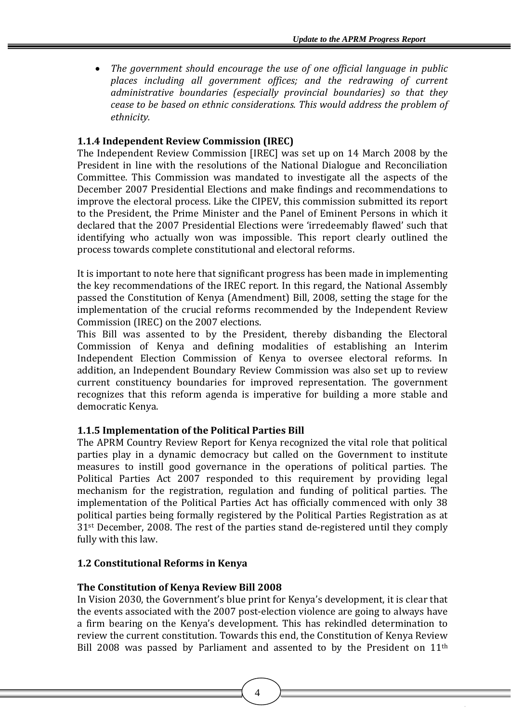• *The government should encourage the use of one official language in public places including all government offices; and the redrawing of current administrative boundaries (especially provincial boundaries) so that they cease to be based on ethnic considerations. This would address the problem of ethnicity.*

#### **1.1.4 Independent Review Commission (IREC)**

The Independent Review Commission [IREC] was set up on 14 March 2008 by the President in line with the resolutions of the National Dialogue and Reconciliation Committee. This Commission was mandated to investigate all the aspects of the December 2007 Presidential Elections and make findings and recommendations to improve the electoral process. Like the CIPEV, this commission submitted its report to the President, the Prime Minister and the Panel of Eminent Persons in which it declared that the 2007 Presidential Elections were 'irredeemably flawed' such that identifying who actually won was impossible. This report clearly outlined the process towards complete constitutional and electoral reforms.

It is important to note here that significant progress has been made in implementing the key recommendations of the IREC report. In this regard, the National Assembly passed the Constitution of Kenya (Amendment) Bill, 2008, setting the stage for the implementation of the crucial reforms recommended by the Independent Review Commission (IREC) on the 2007 elections.

This Bill was assented to by the President, thereby disbanding the Electoral Commission of Kenya and defining modalities of establishing an Interim Independent Election Commission of Kenya to oversee electoral reforms. In addition, an Independent Boundary Review Commission was also set up to review current constituency boundaries for improved representation. The government recognizes that this reform agenda is imperative for building a more stable and democratic Kenya.

# **1.1.5 Implementation of the Political Parties Bill**

The APRM Country Review Report for Kenya recognized the vital role that political parties play in a dynamic democracy but called on the Government to institute measures to instill good governance in the operations of political parties. The Political Parties Act 2007 responded to this requirement by providing legal mechanism for the registration, regulation and funding of political parties. The implementation of the Political Parties Act has officially commenced with only 38 political parties being formally registered by the Political Parties Registration as at 31 st December, 2008. The rest of the parties stand de‐registered until they comply f ully with this law.

#### **1.2 Constitutional Reforms in Kenya**

#### **The Constitution of Kenya Review Bill 2008**

In Vision 2030, the Government's blue print for Kenya's development, it is clear that the events associated with the 2007 post-election violence are going to always have a firm bearing on the Kenya's development. This has rekindled determination to review the current constitution. Towards this end, the Constitution of Kenya Review Bill 2008 was passed by Parliament and assented to by the President on 11<sup>th</sup>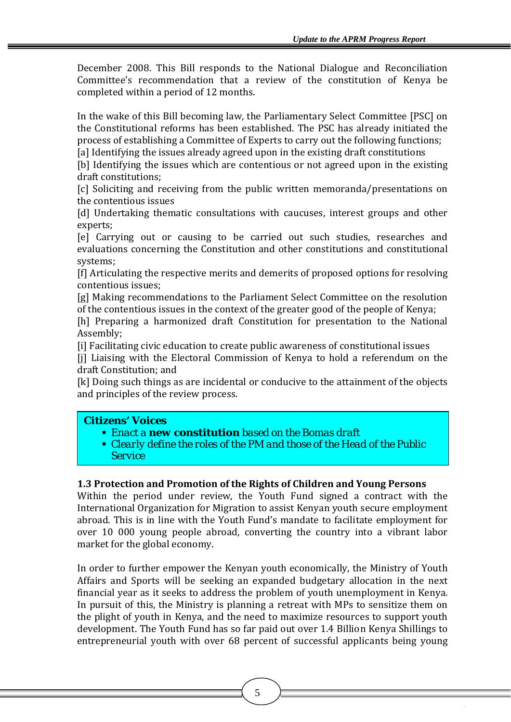December 2008. This Bill responds to the National Dialogue and Reconciliation Committee's recommendation that a review of the constitution of Kenya be completed within a period of 12 months.

In the wake of this Bill becoming law, the Parliamentary Select Committee [PSC] on the Constitutional reforms has been established. The PSC has already initiated the process of establishing a Committee of Experts to carry out the following functions;

[a] Identifying the issues already agreed upon in the existing draft constitutions

[b] Identifying the issues which are contentious or not agreed upon in the existing draft constitutions;

[c] Soliciting and receiving from the public written memoranda/presentations on the contentious issues

[d] Undertaking thematic consultations with caucuses, interest groups and other experts;

[e] Carrying out or causing to be carried out such studies, researches and evaluations concerning the Constitution and other constitutions and constitutional systems;

[f] Articulating the respective merits and demerits of proposed options for resolving contentious issues;

[g] Making recommendations to the Parliament Select Committee on the resolution of the contentious issues in the context of the greater good of the people of Kenya;

[h] Preparing a harmonized draft Constitution for presentation to the National Assembly;

[i] Facilitating civic education to create public awareness of constitutional issues

[i] Liaising with the Electoral Commission of Kenya to hold a referendum on the draft Constitution; and

[k] Doing such things as are incidental or conducive to the attainment of the objects and principles of the review process.

#### *Citizens' Voices*

- *Enact a new constitution based on the Bomas draft*
- *Clearly define the roles of the PM and those of the Head of the Public Service*

#### **1.3 Protection and Promotion of the Rights of Children and Young Persons**

Within the period under review, the Youth Fund signed a contract with the International Organization for Migration to assist Kenyan youth secure employment abroad. This is in line with the Youth Fund's mandate to facilitate employment for over 10 000 young people abroad, converting the country into a vibrant labor market for the global economy.

In order to further empower the Kenyan youth economically, the Ministry of Youth Affairs and Sports will be seeking an expanded budgetary allocation in the next financial year as it seeks to address the problem of youth unemployment in Kenya. In pursuit of this, the Ministry is planning a retreat with MPs to sensitize them on the plight of youth in Kenya, and the need to maximize resources to support youth development. The Youth Fund has so far paid out over 1.4 Billion Kenya Shillings to entrepreneurial youth with over 68 percent of successful applicants being young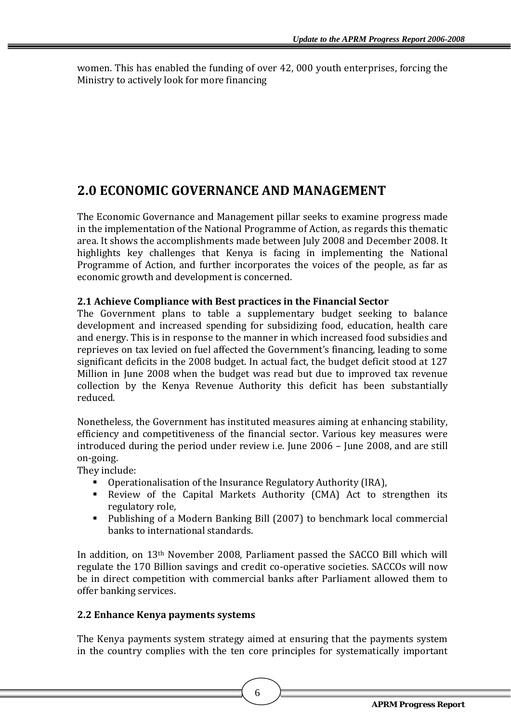women. This has enabled the funding of over 42, 000 youth enterprises, forcing the Ministry to actively look for more financing

# **2.0 ECONOMIC GOVERNANCE AND MANAGEMENT**

The Economic Governance and Management pillar seeks to examine progress made in the implementation of the National Programme of Action, as regards this thematic area. It shows the accomplishments made between July 2008 and December 2008. It highlights key challenges that Kenya is facing in implementing the National Programme of Action, and further incorporates the voices of the people, as far as economic growth and development is concerned.

# **2.1 Achieve Compliance with Best practices in the Financial Sector**

The Government plans to table a supplementary budget seeking to balance development and increased spending for subsidizing food, education, health care and energy. This is in response to the manner in which increased food subsidies and reprieves on tax levied on fuel affected the Government's financing, leading to some significant deficits in the 2008 budget. In actual fact, the budget deficit stood at 127 Million in June 2008 when the budget was read but due to improved tax revenue collection by the Kenya Revenue Authority this deficit has been substantially reduced.

Nonetheless, the Government has instituted measures aiming at enhancing stability, efficiency and competitiveness of the financial sector. Various key measures were introduced during the period under review i.e. June 2006 – June 2008, and are still on‐goin g.

They in clude:

- **Operationalisation of the Insurance Regulatory Authority (IRA),**
- Review of the Capital Markets Authority (CMA) Act to strengthen its regulatory role,
- Publishing of a Modern Banking Bill (2007) to benchmark local commercial banks to international standards.

In addition, on 13th November 2008, Parliament passed the SACCO Bill which will regulate the 170 Billion savings and credit co-operative societies. SACCOs will now be in direct competition with commercial banks after Parliament allowed them to offer banking services.

# **2.2 Enhance Kenya payments systems**

The Kenya payments system strategy aimed at ensuring that the payments system in the country complies with the ten core principles for systematically important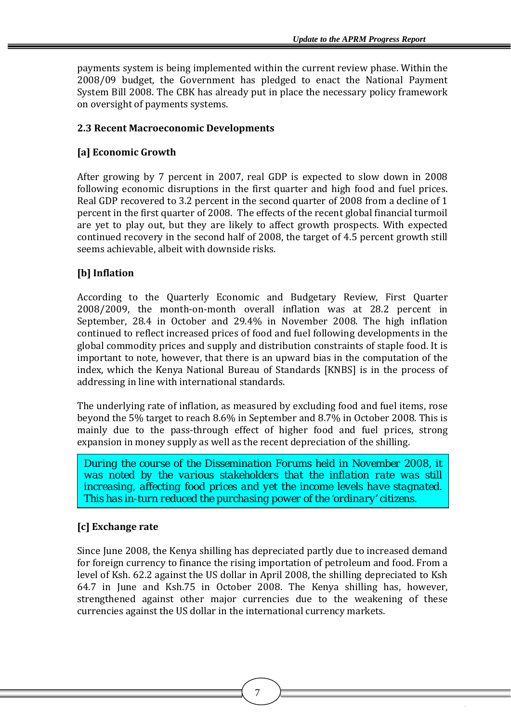payments system is being implemented within the current review phase. Within the 2008/09 budget, the Government has pledged to enact the National Payment System Bill 2008. The CBK has already put in place the necessary policy framework on oversight of payments systems.

# **2.3 Recent Macroeconomic Developments**

# **[a] Economic Growth**

After growing by 7 percent in 2007, real GDP is expected to slow down in 2008 following economic disruptions in the first quarter and high food and fuel prices. Real GDP recovered to 3.2 percent in the second quarter of 2008 from a decline of 1 percent in the first quarter of 2008. The effects of the recent global financial turmoil are yet to play out, but they are likely to affect growth prospects. With expected continued recovery in the second half of 2008, the target of 4.5 percent growth still seems achievable, albeit with downside risks.

# **[b] Inflation**

According to the Quarterly Economic and Budgetary Review, First Quarter 2008/2009, the month‐on‐month overall inflation was at 28.2 percent in September, 28.4 in October and 29.4% in November 2008. The high inflation continued to reflect increased prices of food and fuel following developments in the global commodity prices and supply and distribution constraints of staple food. It is important to note, however, that there is an upward bias in the computation of the index, which the Kenya National Bureau of Standards [KNBS] is in the process of addressing in line with international standards.

The underlying rate of inflation, as measured by excluding food and fuel items, rose beyond the 5% target to reach 8.6% in September and 8.7% in October 2008. This is mainly due to the pass-through effect of higher food and fuel prices, strong expansion in money supply as well as the recent depreciation of the shilling.

*During the course of the Dissemination Forums held in November 2008, it was noted by the various stakeholders that the inflation rate was still increasing, affecting food prices and yet the income levels have stagnated. This has in-turn reduced the purchasing power of the 'ordinary' citizens.* 

# **[c] Exchange rate**

Since June 2008, the Kenya shilling has depreciated partly due to increased demand for foreign currency to finance the rising importation of petroleum and food. From a level of Ksh. 62.2 against the US dollar in April 2008, the shilling depreciated to Ksh 64.7 in June and Ksh.75 in October 2008. The Kenya shilling has, however, strengthened against other major currencies due to the weakening of these currencies against the US dollar in the international currency markets.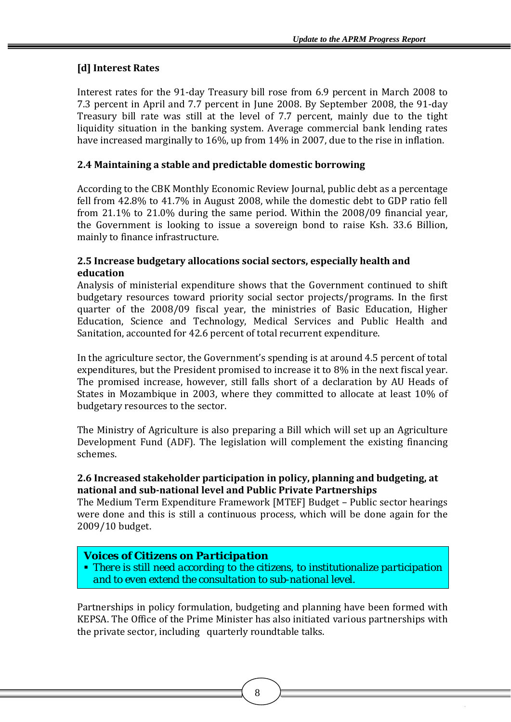# **[d] Interest Rates**

Interest rates for the 91‐day Treasury bill rose from 6.9 percent in March 2008 to 7.3 percent in April and 7.7 percent in June 2008. By September 2008, the 91‐day Treasury bill rate was still at the level of 7.7 percent, mainly due to the tight liquidity situation in the banking system. Average commercial bank lending rates have increased marginally to 16%, up from 14% in 2007, due to the rise in inflation.

# **2.4 Maintaining a stable and predictable domestic borrowing**

According to the CBK Monthly Economic Review Journal, public debt as a percentage fell from 42.8% to 41.7% in August 2008, while the domestic debt to GDP ratio fell from 21.1% to 21.0% during the same period. Within the 2008/09 financial year, the Government is looking to issue a sovereign bond to raise Ksh. 33.6 Billion, mainly to finance infrastructure.

#### **2.5 Increase budgetar allocations social sectors, especially health and y education**

Analysis of ministerial expenditure shows that the Government continued to shift budgetary resources toward priority social sector projects/programs. In the first quarter of the 2008/09 fiscal year, the ministries of Basic Education, Higher Education, Science and Technology, Medical Services and Public Health and Sanitation, accounted for 42.6 percent of total recurrent expenditure.

In the agriculture sector, the Government's spending is at around 4.5 percent of total expenditures, but the President promised to increase it to 8% in the next fiscal year. The promised increase, however, still falls short of a declaration by AU Heads of States in Mozambique in 2003, where they committed to allocate at least 10% of budgetary resources to the sector.

The Ministry of Agriculture is also preparing a Bill which will set up an Agriculture Development Fund (ADF). The legislation will complement the existing financing schemes.

#### **2.6 Increased stakeholder participation in policy, planning and budgeting, at national and subnational level and Public Private Partnerships**

The Medium Term Expenditure Framework [MTEF] Budget – Public sector hearings were done and this is still a continuous process, which will be done again for the 2009/10 budget.

# *Voices of Citizens on Participation*

 *There is still need according to the citizens, to institutionalize participation and to even extend the consultation to sub-national level.*

Partnerships in policy formulation, budgeting and planning have been formed with EPSA. The Office of the Prime Minister has also initiated various partnerships with K the private sector, including quarterly roundtable talks.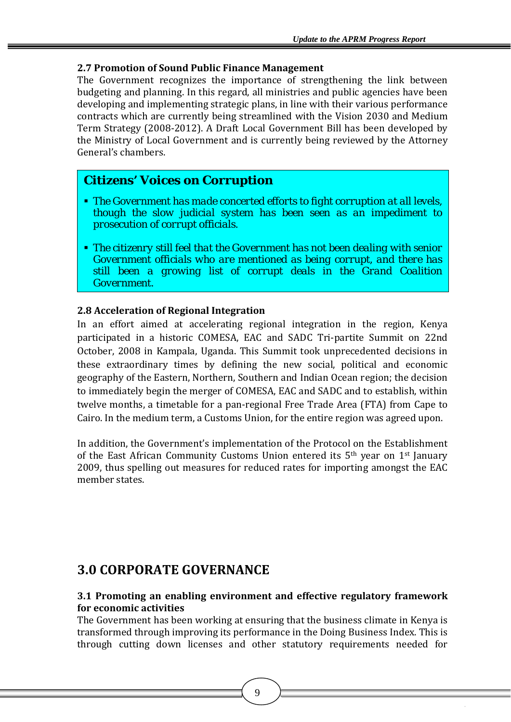#### **2.7 Promotion of Sound Public Finance Management**

The Government recognizes the importance of strengthening the link between budgeting and planning. In this regard, all ministries and public agencies have been developing and implementing strategic plans, in line with their various performance contracts which are currently being streamlined with the Vision 2030 and Medium Term Strategy (2008‐2012). A Draft Local Government Bill has been developed by the Ministry of Local Government and is currently being reviewed by the Attorney General's chambers.

# *Citizens' Voices on Corruption*

- *The Government has made concerted efforts to fight corruption at all levels, though the slow judicial system has been seen as an impediment to prosecution of corrupt officials.*
- *The citizenry still feel that the Government has not been dealing with senior Government officials who are mentioned as being corrupt, and there has still been a growing list of corrupt deals in the Grand Coalition Government.*

#### **2.8 Acceleration of Regional Integration**

In an effort aimed at accelerating regional integration in the region, Kenya participated in a historic COMESA, EAC and SADC Tri‐partite Summit on 22nd October, 2008 in Kampala, Uganda. This Summit took unprecedented decisions in these extraordinary times by defining the new social, political and economic geography of the Eastern, Northern, Southern and Indian Ocean region; the decision to immediately begin the merger of COMESA, EAC and SADC and to establish, within twelve months, a timetable for a pan-regional Free Trade Area (FTA) from Cape to Cairo. In the medium term, a Customs Union, for the entire region was agreed upon.

In addition, the Government's implementation of the Protocol on the Establishment of the East African Community Customs Union entered its  $5<sup>th</sup>$  year on  $1<sup>st</sup>$  January 2009, thus spelling out measures for reduced rates for importing amongst the EAC member states.

# **3.0 CORPORATE GOVERNANCE**

#### **3.1 Promoting an enabling environment and effective regulatory framework for economic activities**

The Government has been working at ensuring that the business climate in Kenya is transformed through improving its performance in the Doing Business Index. This is through cutting down licenses and other statutory requirements needed for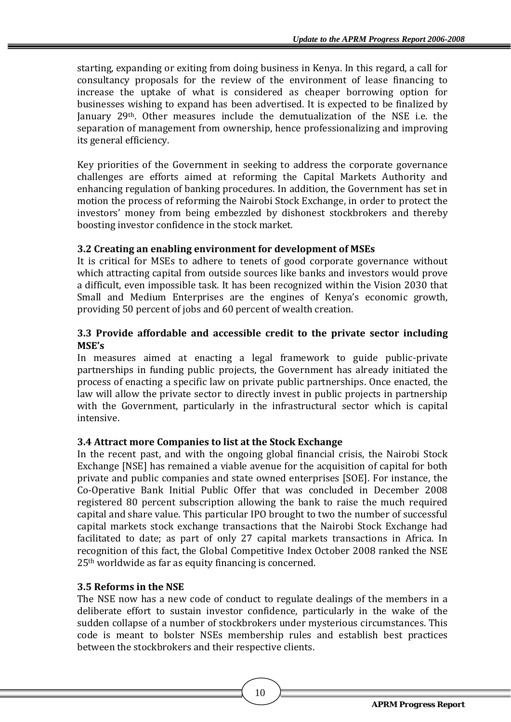starting, expanding or exiting from doing business in Kenya. In this regard, a call for consultancy proposals for the review of the environment of lease financing to increase the uptake of what is considered as cheaper borrowing option for businesses wishing to expand has been advertised. It is expected to be finalized by January 29<sup>th</sup>. Other measures include the demutualization of the NSE i.e. the separation of management from ownership, hence professionalizing and improving its general efficiency.

Key priorities of the Government in seeking to address the corporate governance challenges are efforts aimed at reforming the Capital Markets Authority and enhancing regulation of banking procedures. In addition, the Government has set in motion the process of reforming the Nairobi Stock Exchange, in order to protect the nvestors' money from being embezzled by dishonest stockbrokers and thereby i boosting investor confidence in the stock market.

# **3.2 Creating an enabling environment for development of MSEs**

It is critical for MSEs to adhere to tenets of good corporate governance without which attracting capital from outside sources like banks and investors would prove a difficult, even impossible task. It has been recognized within the Vision 2030 that Small and Medium Enterprises are the engines of Kenya's economic growth, providing 50 percent of jobs and 60 percent of wealth creation.

#### **3.3 Provide affordable and accessible credit to the private sector including MSE's**

In measures aimed at enacting a legal framework to guide public‐private partnerships in funding public projects, the Government has already initiated the process of enacting a specific law on private public partnerships. Once enacted, the law will allow the private sector to directly invest in public projects in partnership with the Government, particularly in the infrastructural sector which is capital intensive.

#### **3.4 Attract more Companies to list at the Stock Exchange**

In the recent past, and with the ongoing global financial crisis, the Nairobi Stock Exchange [NSE] has remained a viable avenue for the acquisition of capital for both private and public companies and state owned enterprises [SOE]. For instance, the Co‐Operative Bank Initial Public Offer that was concluded in December 2008 registered 80 percent subscription allowing the bank to raise the much required capital and share value. This particular IPO brought to two the number of successful capital markets stock exchange transactions that the Nairobi Stock Exchange had facilitated to date; as part of only 27 capital markets transactions in Africa. In recognition of this fact, the Global Competitive Index October 2008 ranked the NSE 25<sup>th</sup> worldwide as far as equity financing is concerned.

#### **3.5 Reforms in the NSE**

The NSE now has a new code of conduct to regulate dealings of the members in a deliberate effort to sustain investor confidence, particularly in the wake of the sudden collapse of a number of stockbrokers under mysterious circumstances. This code is meant to bolster NSEs membership rules and establish best practices between the stockbrokers and their respective clients.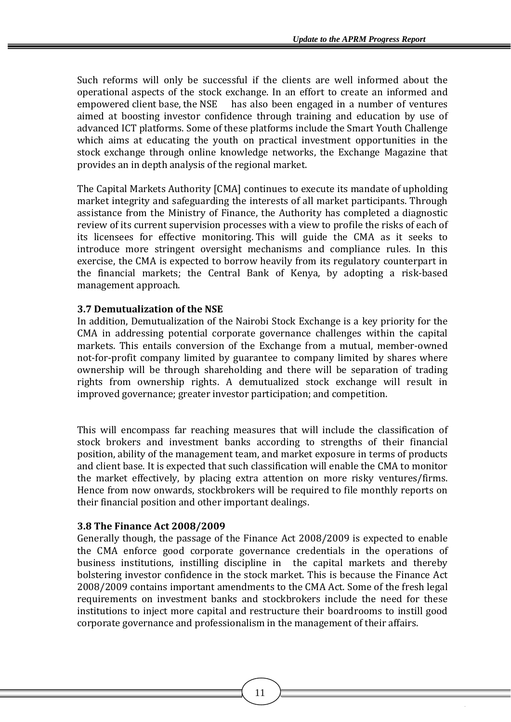Such reforms will only be successful if the clients are well informed about the operational aspects of the stock exchange. In an effort to create an informed and empowered client base, the NSE has also been engaged in a number of ventures aimed at boosting investor confidence through training and education by use of advanced ICT platforms. Some of these platforms include the Smart Youth Challenge which aims at educating the vouth on practical investment opportunities in the stock exchange through online knowledge networks, the Exchange Magazine that provides an in depth analysis of the regional market.

The Capital Markets Authority [CMA] continues to execute its mandate of upholding market integrity and safeguarding the interests of all market participants. Through assistance from the Ministry of Finance, the Authority has completed a diagnostic review of its current supervision processes with a view to profile the risks of each of its licensees for effective monitoring. This will guide the CMA as it seeks to introduce more stringent oversight mechanisms and compliance rules. In this exercise, the CMA is expected to borrow heavily from its regulatory counterpart in the financial markets; the Central Bank of Kenya, by adopting a risk-based management approach.

#### **3.7 Demutualization of the NSE**

In addition, Demutualization of the Nairobi Stock Exchange is a key priority for the CMA in addressing potential corporate governance challenges within the capital markets. This entails conversion of the Exchange from a mutual, member-owned not-for-profit company limited by guarantee to company limited by shares where ownership will be through shareholding and there will be separation of trading rights from ownership rights. A demutualized stock exchange will result in improved governance; greater investor participation; and competition.

This will encompass far reaching measures that will include the classification of stock brokers and investment banks according to strengths of their financial position, ability of the management team, and market exposure in terms of products and client base. It is expected that such classification will enable the CMA to monitor the market effectively, by placing extra attention on more risky ventures/firms. Hence from now onwards, stockbrokers will be required to file monthly reports on heir financial position and other important dealings. t

#### **3.8 The Finance Act 2008/2009**

Generally though, the passage of the Finance Act 2008/2009 is expected to enable the CMA enforce good corporate governance credentials in the operations of business institutions, instilling discipline in the capital markets and thereby bolstering investor confidence in the stock market. This is because the Finance Act 2008/2009 contains important amendments to the CMA Act. Some of the fresh legal requirements on investment banks and stockbrokers include the need for these institutions to inject more capital and restructure their boardrooms to instill good corporate governance and professionalism in the management of their affairs.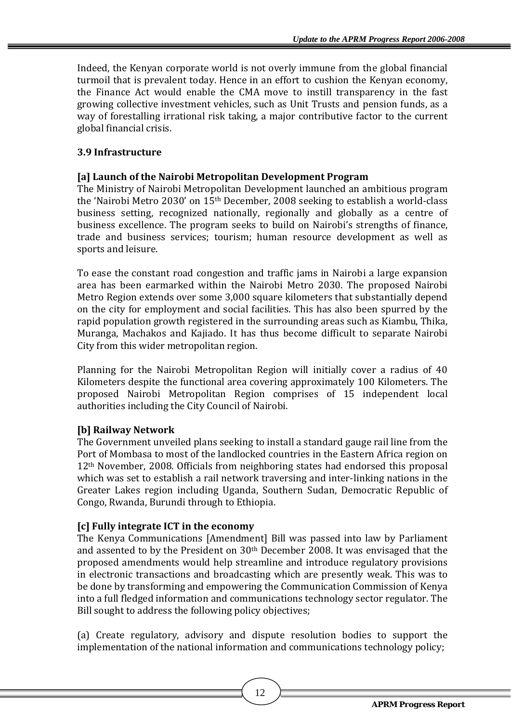Indeed, the Kenyan corporate world is not overly immune from the global financial turmoil that is prevalent today. Hence in an effort to cushion the Kenyan economy, the Finance Act would enable the CMA move to instill transparency in the fast growing collective investment vehicles, such as Unit Trusts and pension funds, as a way of forestalling irrational risk taking, a major contributive factor to the current global financial crisis.

# **3.9 Infrastructure**

# **[a] Launch of the Nairobi Metropolitan Development Program**

The Ministry of Nairobi Metropolitan Development launched an ambitious program the 'Nairobi Metro 2030' on 15th December, 2008 seeking to establish a world‐class business setting, recognized nationally, regionally and globally as a centre of business excellence. The program seeks to build on Nairobi's strengths of finance, trade and business services; tourism; human resource development as well as sports and leisure.

To ease the constant road congestion and traffic jams in Nairobi a large expansion area has been earmarked within the Nairobi Metro 2030. The proposed Nairobi Metro Region extends over some 3,000 square kilometers that substantially depend on the city for employment and social facilities. This has also been spurred by the rapid population growth registered in the surrounding areas such as Kiambu, Thika, Muranga, Machakos and Kajiado. It has thus become difficult to separate Nairobi City from this wider metropolitan region.

Planning for the Nairobi Metropolitan Region will initially cover a radius of 40 Kilometers despite the functional area covering approximately 100 Kilometers. The proposed Nairobi Metropolitan Region comprises of 15 independent local authorities including the City Council of Nairobi.

# **[b] Railway Network**

The Government unveiled plans seeking to install a standard gauge rail line from the Port of Mombasa to most of the landlocked countries in the Eastern Africa region on 12th November, 2008. Officials from neighboring states had endorsed this proposal which was set to establish a rail network traversing and inter-linking nations in the Greater Lakes region including Uganda, Southern Sudan, Democratic Republic of Congo, Rwanda, Burundi through to Ethiopia.

# **[c] Fully integrate ICT in the economy**

The Kenya Communications [Amendment] Bill was passed into law by Parliament and assented to by the President on  $30<sup>th</sup>$  December 2008. It was envisaged that the proposed amendments would help streamline and introduce regulatory provisions in electronic transactions and broadcasting which are presently weak. This was to be done by transforming and empowering the Communication Commission of Kenya nto a full fledged information and communications technology sector regulator. The i Bill sought to address the following policy objectives;

(a) Create regulatory, advisory and dispute resolution bodies to support the implementation of the national information and communications technology policy;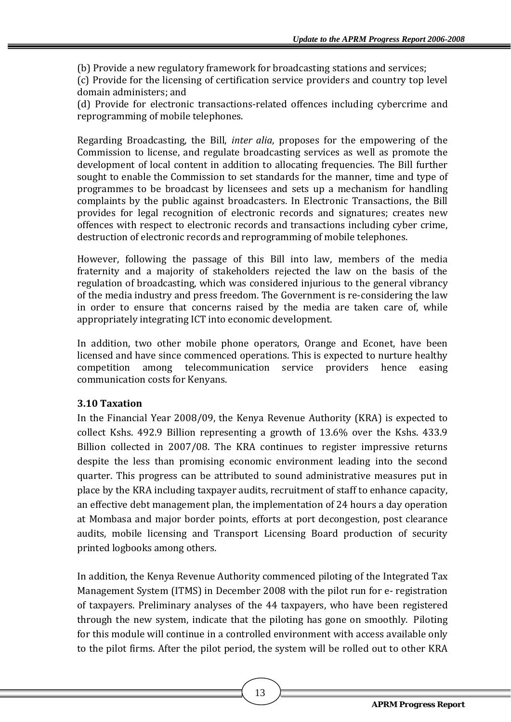(b) Provide a new regulatory framework for broadcasting stations and services;

(c) Provide for the licensing of certification service providers and country top level domain administers; and

d) Provide for electronic transactions‐related offences including cybercrime and ( reprogramming of mobile telephones.

Regarding Broadcasting, the Bill, *inter alia*, proposes for the empowering of the Commission to license, and regulate broadcasting services as well as promote the development of local content in addition to allocating frequencies. The Bill further sought to enable the Commission to set standards for the manner, time and type of programmes to be broadcast by licensees and sets up a mechanism for handling complaints by the public against broadcasters. In Electronic Transactions, the Bill provides for legal recognition of electronic records and signatures; creates new offences with respect to electronic records and transactions including cyber crime, destruction of electronic records and reprogramming of mobile telephones.

However, following the passage of this Bill into law, members of the media fraternity and a majority of stakeholders rejected the law on the basis of the regulation of broadcasting, which was considered injurious to the general vibrancy of the media industry and press freedom. The Government is re‐considering the law in order to ensure that concerns raised by the media are taken care of, while appropriately integrating ICT into economic development.

In addition, two other mobile phone operators, Orange and Econet, have been licensed and have since commenced operations. This is expected to nurture healthy among telecommunication service providers hence easing ommunication costs for Kenyans. c competition

# **3.10 Taxation**

In the Financial Year 2008/09, the Kenya Revenue Authority (KRA) is expected to collect Kshs. 492.9 Billion representing a growth of 13.6% over the Kshs. 433.9 Billion collected in 2007/08. The KRA continues to register impressive returns despite the less than promising economic environment leading into the second quarter. This progress can be attributed to sound administrative measures put in place by the KRA including taxpayer audits, recruitment of staff to enhance capacity, an effective debt management plan, the implementation of 24 hours a day operation at Mombasa and major border points, efforts at port decongestion, post clearance audits, mobile licensing and Transport Licensing Board production of security printed logbooks among others.

In addition, the Kenya Revenue Authority commenced piloting of the Integrated Tax Management System (ITMS) in December 2008 with the pilot run for e‐ registration of taxpayers. Preliminary analyses of the 44 taxpayers, who have been registered through the new system, indicate that the piloting has gone on smoothly. Piloting for this module will continue in a controlled environment with access available only to the pilot firms. After the pilot period, the system will be rolled out to other KRA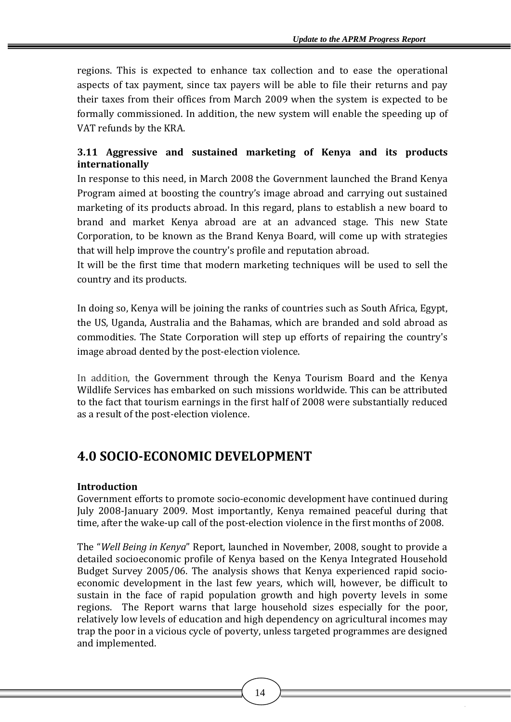regions. This is expected to enhance tax collection and to ease the operational aspects of tax payment, since tax payers will be able to file their returns and pay their taxes from their offices from March 2009 when the system is expected to be formally commissioned. In addition, the new system will enable the speeding up of VAT refunds by the KRA.

# **3.11 Aggressive and sustained marketing of Kenya and its products internationally**

In response to this need, in March 2008 the Government launched the Brand Kenya Program aimed at boosting the country's image abroad and carrying out sustained marketing of its products abroad. In this regard, plans to establish a new board to brand and market Kenya abroad are at an advanced stage. This new State Corporation, to be known as the Brand Kenya Board, will come up with strategies that will help improve the country's profile and reputation abroad.

It will be the first time that modern marketing techniques will be used to sell the country and its products.

In doing so, Kenya will be joining the ranks of countries such as South Africa, Egypt, the US, Uganda, Australia and the Bahamas, which are branded and sold abroad as commodities. The State Corporation will step up efforts of repairing the country's image abroad dented by the post-election violence.

In addition, the Government through the Kenya Tourism Board and the Kenya Wildlife Services has embarked on such missions worldwide. This can be attributed to the fact that tourism earnings in the first half of 2008 were substantially reduced as a result of the post-election violence.

# **4.0 SOCIOECONOMIC DEVELOPMENT**

# **Introduction**

Government efforts to promote socio‐economic development have continued during July 2008-January 2009. Most importantly, Kenya remained peaceful during that time, after the wake-up call of the post-election violence in the first months of 2008.

The "*Well Being in Kenya*" Report, launched in November, 2008, sought to provide a detailed socioeconomic profile of Kenya based on the Kenya Integrated Household Budget Survey 2005/06. The analysis shows that Kenya experienced rapid socio‐ economic development in the last few years, which will, however, be difficult to sustain in the face of rapid population growth and high poverty levels in some regions. The Report warns that large household sizes especially for the poor, relatively low levels of education and high dependency on agricultural incomes may trap the poor in a vicious cycle of poverty, unless targeted programmes are designed and implemented.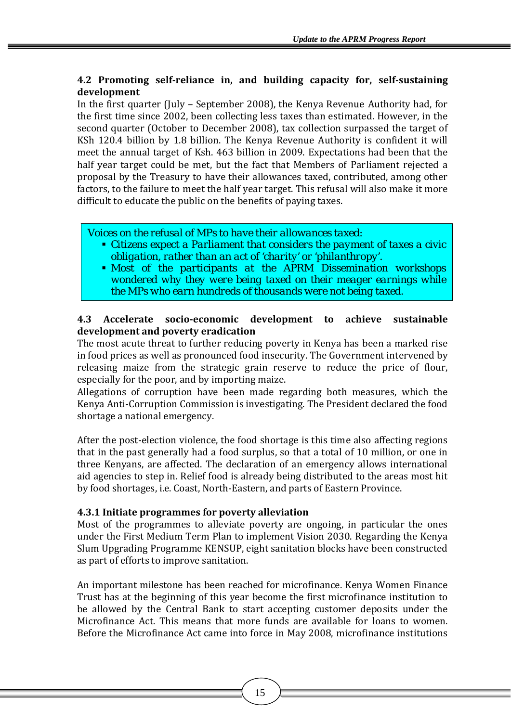# **4.2 Promoting selfreliance in, and building capacity for, selfsustaining development**

In the first quarter (July – September 2008), the Kenya Revenue Authority had, for the first time since 2002, been collecting less taxes than estimated. However, in the second quarter (October to December 2008), tax collection surpassed the target of KSh 120.4 billion by 1.8 billion. The Kenya Revenue Authority is confident it will meet the annual target of Ksh. 463 billion in 2009. Expectations had been that the half vear target could be met, but the fact that Members of Parliament rejected a proposal by the Treasury to have their allowances taxed, contributed, among other factors, to the failure to meet the half year target. This refusal will also make it more difficult to educate the public on the benefits of paying taxes.

*Voices on the refusal of MPs to have their allowances taxed:* 

- *Citizens expect a Parliament that considers the payment of taxes a civic obligation, rather than an act of 'charity' or 'philanthropy'.*
- *Most of the participants at the APRM Dissemination workshops wondered why they were being taxed on their meager earnings while the MPs who earn hundreds of thousands were not being taxed.*

#### **4.3 Accelerate socioeconomic development to achieve sustainable development and poverty eradication**

The most acute threat to further reducing poverty in Kenya has been a marked rise in food prices as well as pronounced food insecurity. The Government intervened by releasing maize from the strategic grain reserve to reduce the price of flour, especially for the poor, and by importing maize.

Allegations of corruption have been made regarding both measures, which the Kenya Anti-Corruption Commission is investigating. The President declared the food shortage a national emergency.

After the post-election violence, the food shortage is this time also affecting regions that in the past generally had a food surplus, so that a total of 10 million, or one in three Kenyans, are affected. The declaration of an emergency allows international aid agencies to step in. Relief food is already being distributed to the areas most hit by food shortages, i.e. Coast, North-Eastern, and parts of Eastern Province.

# **4.3.1 Initiate programmes for poverty alleviation**

Most of the programmes to alleviate poverty are ongoing, in particular the ones under the First Medium Term Plan to implement Vision 2030. Regarding the Kenya Slum Upgrading Programme KENSUP, eight sanitation blocks have been constructed as part of efforts to improve sanitation.

An important milestone has been reached for microfinance. Kenya Women Finance Trust has at the beginning of this year become the first microfinance institution to be allowed by the Central Bank to start accepting customer deposits under the Microfinance Act. This means that more funds are available for loans to women. Before the Microfinance Act came into force in May 2008, microfinance institutions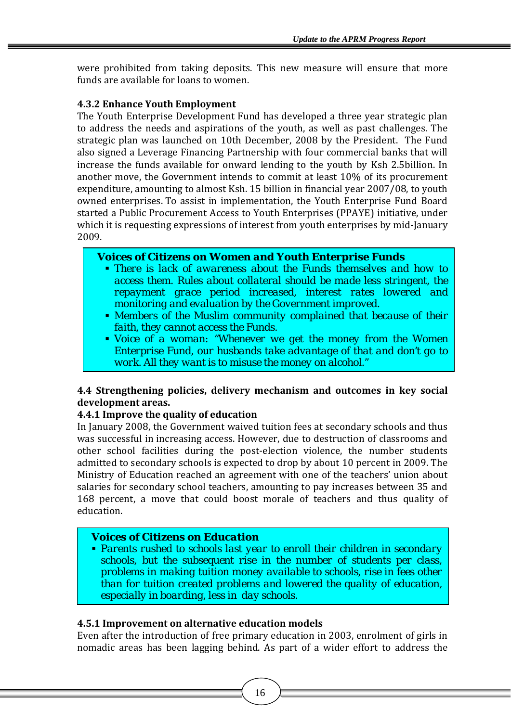w ere prohibited from taking deposits. This new measure will ensure that more f unds are available for loans to women.

#### **4.3.2 Enhance Youth Employment**

The Youth Enterprise Development Fund has developed a three year strategic plan to address the needs and aspirations of the youth, as well as past challenges. The strategic plan was launched on 10th December, 2008 by the President. The Fund also signed a Leverage Financing Partnership with four commercial banks that will increase the funds available for onward lending to the youth by Ksh 2.5billion. In another move, the Government intends to commit at least 10% of its procurement expenditure, amounting to almost Ksh. 15 billion in financial year 2007/08, to youth owned enterprises. To assist in implementation, the Youth Enterprise Fund Board started a Public Procurement Access to Youth Enterprises (PPAYE) initiative, under which it is requesting expressions of interest from youth enterprises by mid‐January 2009.

# *Voices of Citizens on Women and Youth Enterprise Funds*

- *There is lack of awareness about the Funds themselves and how to access them. Rules about collateral should be made less stringent, the repayment grace period increased, interest rates lowered and monitoring and evaluation by the Government improved.*
- *Members of the Muslim community complained that because of their faith, they cannot access the Funds.*
- *Voice of a woman: "Whenever we get the money from the Women Enterprise Fund, our husbands take advantage of that and don't go to work. All they want is to misuse the money on alcohol."*

#### **4.4 Strengthening policies, delivery mechanism and outcomes in key social development areas.**

# **4.4.1 Improve the quality of education**

In January 2008, the Government waived tuition fees at secondary schools and thus was successful in increasing access. However, due to destruction of classrooms and other school facilities during the post-election violence, the number students admitted to secondary schools is expected to drop by about 10 percent in 2009. The Ministry of Education reached an agreement with one of the teachers' union about salaries for secondary school teachers, amounting to pay increases between 35 and 168 percent, a move that could boost morale of teachers and thus quality of education.

# *Voices of Citizens on Education*

 *Parents rushed to schools last year to enroll their children in secondary schools, but the subsequent rise in the number of students per class, problems in making tuition money available to schools, rise in fees other than for tuition created problems and lowered the quality of education, especially in boarding, less in day schools.*

# **4.5.1 Improvement on alternative education models**

Even after the introduction of free primary education in 2003, enrolment of girls in nomadic areas has been lagging behind. As part of a wider effort to address the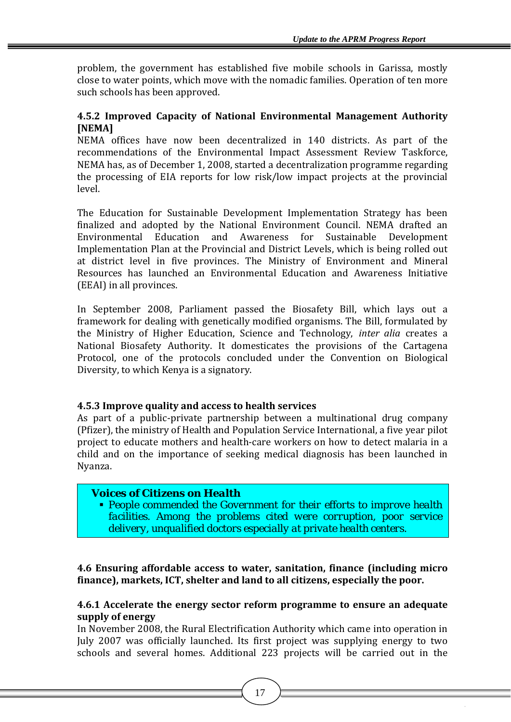problem, the government has established five mobile schools in Garissa, mostly close to water points, which move with the nomadic families. Operation of ten more such schools has been approved.

#### 4.5.2 Improved Capacity of National Environmental Management Authority **[NEMA]**

NEMA offices have now been decentralized in 140 districts. As part of the recommendations of the Environmental Impact Assessment Review Taskforce, NEMA has, as of December 1, 2008, started a decentralization programme regarding the processing of EIA reports for low risk/low impact projects at the provincial level.

The Education for Sustainable Development Implementation Strategy has been finalized and adopted by the National Environment Council. NEMA drafted an Environmental Education and Awareness for Sustainable Development Implementation Plan at the Provincial and District Levels, which is being rolled out at district level in five provinces. The Ministry of Environment and Mineral Resources has launched an Environmental Education and Awareness Initiative (EEAI) in all provinces.

In September 2008, Parliament passed the Biosafety Bill, which lays out a framework for dealing with genetically modified organisms. The Bill, formulated by the Ministry of Higher Education, Science and Technology, *inter alia* creates a National Biosafety Authority. It domesticates the provisions of the Cartagena Protocol, one of the protocols concluded under the Convention on Biological Diversity, to which Kenya is a signatory.

# **4.5.3 Improve quality and access to health services**

As part of a public-private partnership between a multinational drug company (Pfizer), the ministry of Health and Population Service International, a five year pilot project to educate mothers and health‐care workers on how to detect malaria in a child and on the importance of seeking medical diagnosis has been launched in Nyanza.

# *Voices of Citizens on Health*

 *People commended the Government for their efforts to improve health facilities. Among the problems cited were corruption, poor service delivery, unqualified doctors especially at private health centers.*

**4 .6 Ensuring affordable access to water, sanitation, finance (including micro f inance), markets, ICT, shelter and land to all citizens, especially the poor.**

#### **4.6.1 Accelerate the energy sector reform programme to ensure an adequate supply of energy**

In November 2008, the Rural Electrification Authority which came into operation in July 2007 was officially launched. Its first project was supplying energy to two schools and several homes. Additional 223 projects will be carried out in the